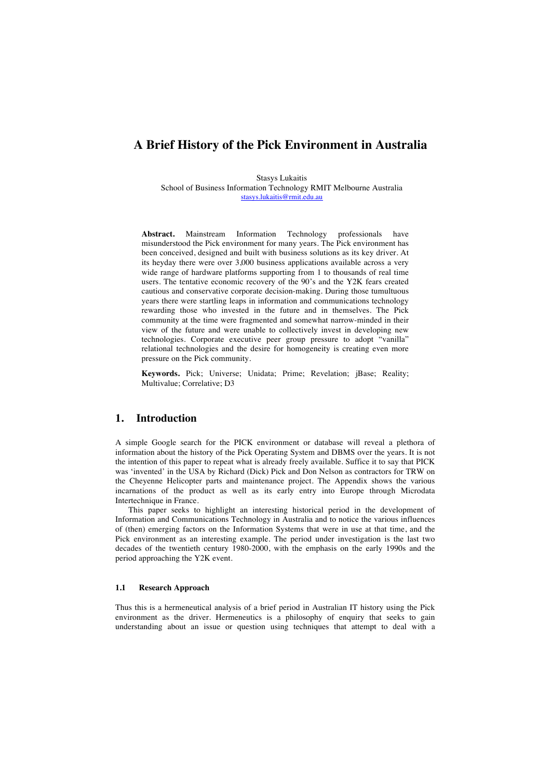# **A Brief History of the Pick Environment in Australia**

Stasys Lukaitis School of Business Information Technology RMIT Melbourne Australia stasys.lukaitis@rmit.edu.au

**Abstract.** Mainstream Information Technology professionals have misunderstood the Pick environment for many years. The Pick environment has been conceived, designed and built with business solutions as its key driver. At its heyday there were over 3,000 business applications available across a very wide range of hardware platforms supporting from 1 to thousands of real time users. The tentative economic recovery of the 90's and the Y2K fears created cautious and conservative corporate decision-making. During those tumultuous years there were startling leaps in information and communications technology rewarding those who invested in the future and in themselves. The Pick community at the time were fragmented and somewhat narrow-minded in their view of the future and were unable to collectively invest in developing new technologies. Corporate executive peer group pressure to adopt "vanilla" relational technologies and the desire for homogeneity is creating even more pressure on the Pick community.

**Keywords.** Pick; Universe; Unidata; Prime; Revelation; jBase; Reality; Multivalue; Correlative; D3

## **1. Introduction**

A simple Google search for the PICK environment or database will reveal a plethora of information about the history of the Pick Operating System and DBMS over the years. It is not the intention of this paper to repeat what is already freely available. Suffice it to say that PICK was 'invented' in the USA by Richard (Dick) Pick and Don Nelson as contractors for TRW on the Cheyenne Helicopter parts and maintenance project. The Appendix shows the various incarnations of the product as well as its early entry into Europe through Microdata Intertechnique in France.

This paper seeks to highlight an interesting historical period in the development of Information and Communications Technology in Australia and to notice the various influences of (then) emerging factors on the Information Systems that were in use at that time, and the Pick environment as an interesting example. The period under investigation is the last two decades of the twentieth century 1980-2000, with the emphasis on the early 1990s and the period approaching the Y2K event.

### **1.1 Research Approach**

Thus this is a hermeneutical analysis of a brief period in Australian IT history using the Pick environment as the driver. Hermeneutics is a philosophy of enquiry that seeks to gain understanding about an issue or question using techniques that attempt to deal with a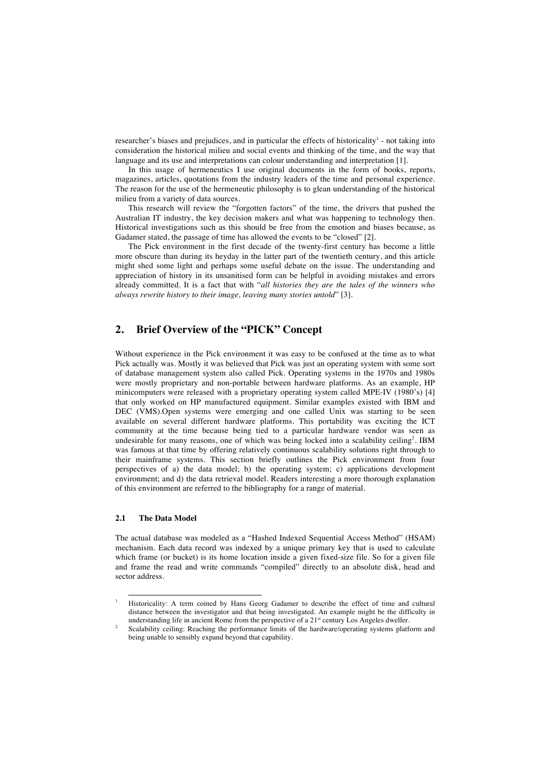researcher's biases and prejudices, and in particular the effects of historicality<sup>1</sup> - not taking into consideration the historical milieu and social events and thinking of the time, and the way that language and its use and interpretations can colour understanding and interpretation [1].

In this usage of hermeneutics I use original documents in the form of books, reports, magazines, articles, quotations from the industry leaders of the time and personal experience. The reason for the use of the hermeneutic philosophy is to glean understanding of the historical milieu from a variety of data sources.

This research will review the "forgotten factors" of the time, the drivers that pushed the Australian IT industry, the key decision makers and what was happening to technology then. Historical investigations such as this should be free from the emotion and biases because, as Gadamer stated, the passage of time has allowed the events to be "closed" [2].

The Pick environment in the first decade of the twenty-first century has become a little more obscure than during its heyday in the latter part of the twentieth century, and this article might shed some light and perhaps some useful debate on the issue. The understanding and appreciation of history in its unsanitised form can be helpful in avoiding mistakes and errors already committed. It is a fact that with "*all histories they are the tales of the winners who always rewrite history to their image, leaving many stories untold*" [3].

# **2. Brief Overview of the "PICK" Concept**

Without experience in the Pick environment it was easy to be confused at the time as to what Pick actually was. Mostly it was believed that Pick was just an operating system with some sort of database management system also called Pick. Operating systems in the 1970s and 1980s were mostly proprietary and non-portable between hardware platforms. As an example, HP minicomputers were released with a proprietary operating system called MPE-IV (1980's) [4] that only worked on HP manufactured equipment. Similar examples existed with IBM and DEC (VMS).Open systems were emerging and one called Unix was starting to be seen available on several different hardware platforms. This portability was exciting the ICT community at the time because being tied to a particular hardware vendor was seen as undesirable for many reasons, one of which was being locked into a scalability ceiling<sup>2</sup>. IBM was famous at that time by offering relatively continuous scalability solutions right through to their mainframe systems. This section briefly outlines the Pick environment from four perspectives of a) the data model; b) the operating system; c) applications development environment; and d) the data retrieval model. Readers interesting a more thorough explanation of this environment are referred to the bibliography for a range of material.

#### **2.1 The Data Model**

1

The actual database was modeled as a "Hashed Indexed Sequential Access Method" (HSAM) mechanism. Each data record was indexed by a unique primary key that is used to calculate which frame (or bucket) is its home location inside a given fixed-size file. So for a given file and frame the read and write commands "compiled" directly to an absolute disk, head and sector address.

<sup>&</sup>lt;sup>1</sup> Historicality: A term coined by Hans Georg Gadamer to describe the effect of time and cultural distance between the investigator and that being investigated. An example might be the difficulty in understanding life in ancient Rome from the perspective of a 21<sup>st</sup> century Los Angeles dweller.

<sup>2</sup> Scalability ceiling: Reaching the performance limits of the hardware/operating systems platform and being unable to sensibly expand beyond that capability.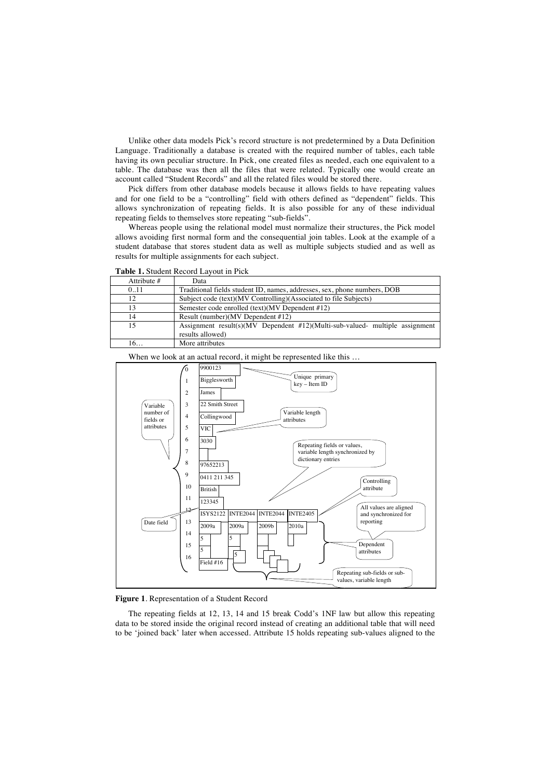Unlike other data models Pick's record structure is not predetermined by a Data Definition Language. Traditionally a database is created with the required number of tables, each table having its own peculiar structure. In Pick, one created files as needed, each one equivalent to a table. The database was then all the files that were related. Typically one would create an account called "Student Records" and all the related files would be stored there.

Pick differs from other database models because it allows fields to have repeating values and for one field to be a "controlling" field with others defined as "dependent" fields. This allows synchronization of repeating fields. It is also possible for any of these individual repeating fields to themselves store repeating "sub-fields".

Whereas people using the relational model must normalize their structures, the Pick model allows avoiding first normal form and the consequential join tables. Look at the example of a student database that stores student data as well as multiple subjects studied and as well as results for multiple assignments for each subject.

**Table 1.** Student Record Layout in Pick

| Attribute $#$ | Data                                                                             |  |  |
|---------------|----------------------------------------------------------------------------------|--|--|
| 0.11          | Traditional fields student ID, names, addresses, sex, phone numbers, DOB         |  |  |
| 12            | Subject code (text)(MV Controlling)(Associated to file Subjects)                 |  |  |
| 13            | Semester code enrolled (text)(MV Dependent #12)                                  |  |  |
| 14            | Result (number)(MV Dependent #12)                                                |  |  |
| 15            | Assignment result(s)(MV Dependent $\#12$ )(Multi-sub-valued- multiple assignment |  |  |
|               | results allowed)                                                                 |  |  |
| 16. .         | More attributes                                                                  |  |  |

When we look at an actual record, it might be represented like this ...



**Figure 1**. Representation of a Student Record

The repeating fields at 12, 13, 14 and 15 break Codd's 1NF law but allow this repeating data to be stored inside the original record instead of creating an additional table that will need to be 'joined back' later when accessed. Attribute 15 holds repeating sub-values aligned to the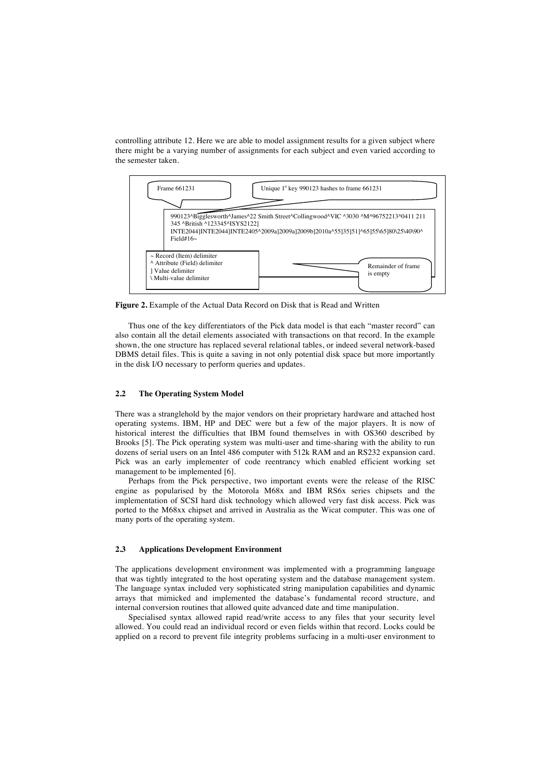controlling attribute 12. Here we are able to model assignment results for a given subject where there might be a varying number of assignments for each subject and even varied according to the semester taken.



**Figure 2.** Example of the Actual Data Record on Disk that is Read and Written

Thus one of the key differentiators of the Pick data model is that each "master record" can also contain all the detail elements associated with transactions on that record. In the example shown, the one structure has replaced several relational tables, or indeed several network-based DBMS detail files. This is quite a saving in not only potential disk space but more importantly in the disk I/O necessary to perform queries and updates.

### **2.2 The Operating System Model**

There was a stranglehold by the major vendors on their proprietary hardware and attached host operating systems. IBM, HP and DEC were but a few of the major players. It is now of historical interest the difficulties that IBM found themselves in with OS360 described by Brooks [5]. The Pick operating system was multi-user and time-sharing with the ability to run dozens of serial users on an Intel 486 computer with 512k RAM and an RS232 expansion card. Pick was an early implementer of code reentrancy which enabled efficient working set management to be implemented [6].

Perhaps from the Pick perspective, two important events were the release of the RISC engine as popularised by the Motorola M68x and IBM RS6x series chipsets and the implementation of SCSI hard disk technology which allowed very fast disk access. Pick was ported to the M68xx chipset and arrived in Australia as the Wicat computer. This was one of many ports of the operating system.

### **2.3 Applications Development Environment**

The applications development environment was implemented with a programming language that was tightly integrated to the host operating system and the database management system. The language syntax included very sophisticated string manipulation capabilities and dynamic arrays that mimicked and implemented the database's fundamental record structure, and internal conversion routines that allowed quite advanced date and time manipulation.

Specialised syntax allowed rapid read/write access to any files that your security level allowed. You could read an individual record or even fields within that record. Locks could be applied on a record to prevent file integrity problems surfacing in a multi-user environment to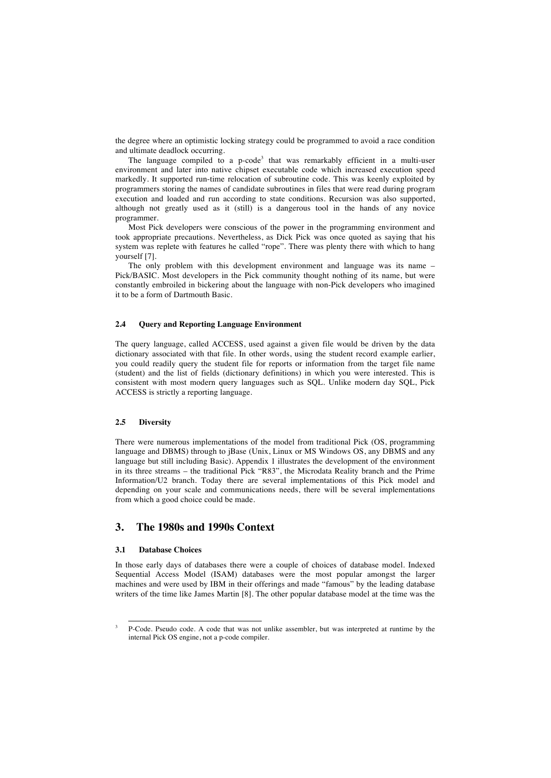the degree where an optimistic locking strategy could be programmed to avoid a race condition and ultimate deadlock occurring.

The language compiled to a p-code<sup>3</sup> that was remarkably efficient in a multi-user environment and later into native chipset executable code which increased execution speed markedly. It supported run-time relocation of subroutine code. This was keenly exploited by programmers storing the names of candidate subroutines in files that were read during program execution and loaded and run according to state conditions. Recursion was also supported, although not greatly used as it (still) is a dangerous tool in the hands of any novice programmer.

Most Pick developers were conscious of the power in the programming environment and took appropriate precautions. Nevertheless, as Dick Pick was once quoted as saying that his system was replete with features he called "rope". There was plenty there with which to hang yourself [7].

The only problem with this development environment and language was its name – Pick/BASIC. Most developers in the Pick community thought nothing of its name, but were constantly embroiled in bickering about the language with non-Pick developers who imagined it to be a form of Dartmouth Basic.

#### **2.4 Query and Reporting Language Environment**

The query language, called ACCESS, used against a given file would be driven by the data dictionary associated with that file. In other words, using the student record example earlier, you could readily query the student file for reports or information from the target file name (student) and the list of fields (dictionary definitions) in which you were interested. This is consistent with most modern query languages such as SQL. Unlike modern day SQL, Pick ACCESS is strictly a reporting language.

### **2.5 Diversity**

There were numerous implementations of the model from traditional Pick (OS, programming language and DBMS) through to jBase (Unix, Linux or MS Windows OS, any DBMS and any language but still including Basic). Appendix 1 illustrates the development of the environment in its three streams – the traditional Pick "R83", the Microdata Reality branch and the Prime Information/U2 branch. Today there are several implementations of this Pick model and depending on your scale and communications needs, there will be several implementations from which a good choice could be made.

## **3. The 1980s and 1990s Context**

## **3.1 Database Choices**

In those early days of databases there were a couple of choices of database model. Indexed Sequential Access Model (ISAM) databases were the most popular amongst the larger machines and were used by IBM in their offerings and made "famous" by the leading database writers of the time like James Martin [8]. The other popular database model at the time was the

 <sup>3</sup> P-Code. Pseudo code. A code that was not unlike assembler, but was interpreted at runtime by the internal Pick OS engine, not a p-code compiler.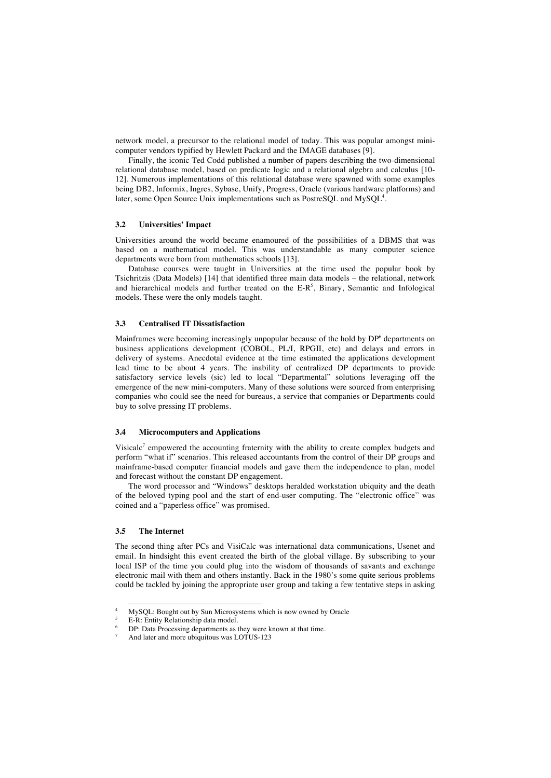network model, a precursor to the relational model of today. This was popular amongst minicomputer vendors typified by Hewlett Packard and the IMAGE databases [9].

Finally, the iconic Ted Codd published a number of papers describing the two-dimensional relational database model, based on predicate logic and a relational algebra and calculus [10- 12]. Numerous implementations of this relational database were spawned with some examples being DB2, Informix, Ingres, Sybase, Unify, Progress, Oracle (various hardware platforms) and later, some Open Source Unix implementations such as PostreSQL and  $MySQL^4$ .

#### **3.2 Universities' Impact**

Universities around the world became enamoured of the possibilities of a DBMS that was based on a mathematical model. This was understandable as many computer science departments were born from mathematics schools [13].

Database courses were taught in Universities at the time used the popular book by Tsichritzis (Data Models) [14] that identified three main data models – the relational, network and hierarchical models and further treated on the  $E-R<sup>5</sup>$ , Binary, Semantic and Infological models. These were the only models taught.

#### **3.3 Centralised IT Dissatisfaction**

Mainframes were becoming increasingly unpopular because of the hold by  $DP<sup>6</sup>$  departments on business applications development (COBOL, PL/I, RPGII, etc) and delays and errors in delivery of systems. Anecdotal evidence at the time estimated the applications development lead time to be about 4 years. The inability of centralized DP departments to provide satisfactory service levels (sic) led to local "Departmental" solutions leveraging off the emergence of the new mini-computers. Many of these solutions were sourced from enterprising companies who could see the need for bureaus, a service that companies or Departments could buy to solve pressing IT problems.

#### **3.4 Microcomputers and Applications**

Visical $c^7$  empowered the accounting fraternity with the ability to create complex budgets and perform "what if" scenarios. This released accountants from the control of their DP groups and mainframe-based computer financial models and gave them the independence to plan, model and forecast without the constant DP engagement.

The word processor and "Windows" desktops heralded workstation ubiquity and the death of the beloved typing pool and the start of end-user computing. The "electronic office" was coined and a "paperless office" was promised.

## **3.5 The Internet**

The second thing after PCs and VisiCalc was international data communications, Usenet and email. In hindsight this event created the birth of the global village. By subscribing to your local ISP of the time you could plug into the wisdom of thousands of savants and exchange electronic mail with them and others instantly. Back in the 1980's some quite serious problems could be tackled by joining the appropriate user group and taking a few tentative steps in asking

<sup>&</sup>lt;sup>4</sup> MySQL: Bought out by Sun Microsystems which is now owned by Oracle

<sup>5</sup> E-R: Entity Relationship data model.

DP: Data Processing departments as they were known at that time.

And later and more ubiquitous was LOTUS-123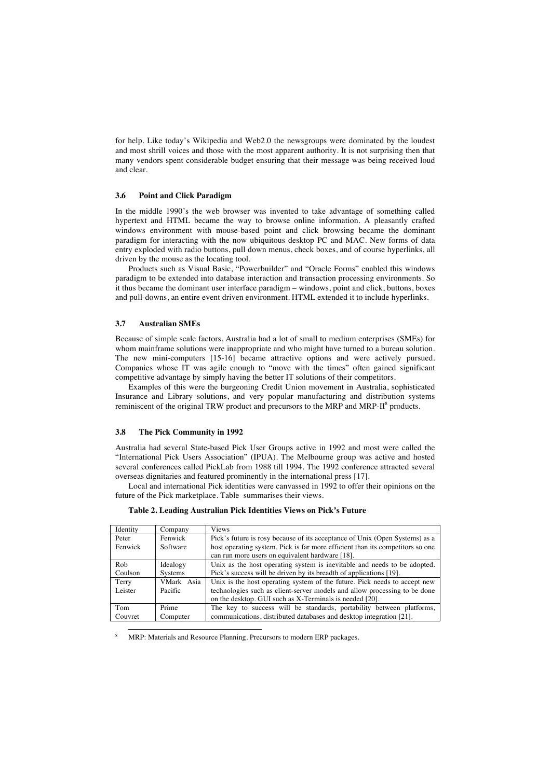for help. Like today's Wikipedia and Web2.0 the newsgroups were dominated by the loudest and most shrill voices and those with the most apparent authority. It is not surprising then that many vendors spent considerable budget ensuring that their message was being received loud and clear.

#### **3.6 Point and Click Paradigm**

In the middle 1990's the web browser was invented to take advantage of something called hypertext and HTML became the way to browse online information. A pleasantly crafted windows environment with mouse-based point and click browsing became the dominant paradigm for interacting with the now ubiquitous desktop PC and MAC. New forms of data entry exploded with radio buttons, pull down menus, check boxes, and of course hyperlinks, all driven by the mouse as the locating tool.

Products such as Visual Basic, "Powerbuilder" and "Oracle Forms" enabled this windows paradigm to be extended into database interaction and transaction processing environments. So it thus became the dominant user interface paradigm – windows, point and click, buttons, boxes and pull-downs, an entire event driven environment. HTML extended it to include hyperlinks.

#### **3.7 Australian SMEs**

Because of simple scale factors, Australia had a lot of small to medium enterprises (SMEs) for whom mainframe solutions were inappropriate and who might have turned to a bureau solution. The new mini-computers [15-16] became attractive options and were actively pursued. Companies whose IT was agile enough to "move with the times" often gained significant competitive advantage by simply having the better IT solutions of their competitors.

Examples of this were the burgeoning Credit Union movement in Australia, sophisticated Insurance and Library solutions, and very popular manufacturing and distribution systems reminiscent of the original TRW product and precursors to the MRP and MRP-II<sup>8</sup> products.

#### **3.8 The Pick Community in 1992**

Australia had several State-based Pick User Groups active in 1992 and most were called the "International Pick Users Association" (IPUA). The Melbourne group was active and hosted several conferences called PickLab from 1988 till 1994. The 1992 conference attracted several overseas dignitaries and featured prominently in the international press [17].

Local and international Pick identities were canvassed in 1992 to offer their opinions on the future of the Pick marketplace. Table summarises their views.

| Identity | Company    | Views                                                                         |
|----------|------------|-------------------------------------------------------------------------------|
| Peter    | Fenwick    | Pick's future is rosy because of its acceptance of Unix (Open Systems) as a   |
| Fenwick  | Software   | host operating system. Pick is far more efficient than its competitors so one |
|          |            | can run more users on equivalent hardware [18].                               |
| Rob      | Idealogy   | Unix as the host operating system is inevitable and needs to be adopted.      |
| Coulson  | Systems    | Pick's success will be driven by its breadth of applications [19].            |
| Terry    | VMark Asia | Unix is the host operating system of the future. Pick needs to accept new     |
| Leister  | Pacific    | technologies such as client-server models and allow processing to be done     |
|          |            | on the desktop. GUI such as X-Terminals is needed [20].                       |
| Tom      | Prime      | The key to success will be standards, portability between platforms,          |
| Couvret  | Computer   | communications, distributed databases and desktop integration [21].           |

**Table 2. Leading Australian Pick Identities Views on Pick's Future**

MRP: Materials and Resource Planning. Precursors to modern ERP packages.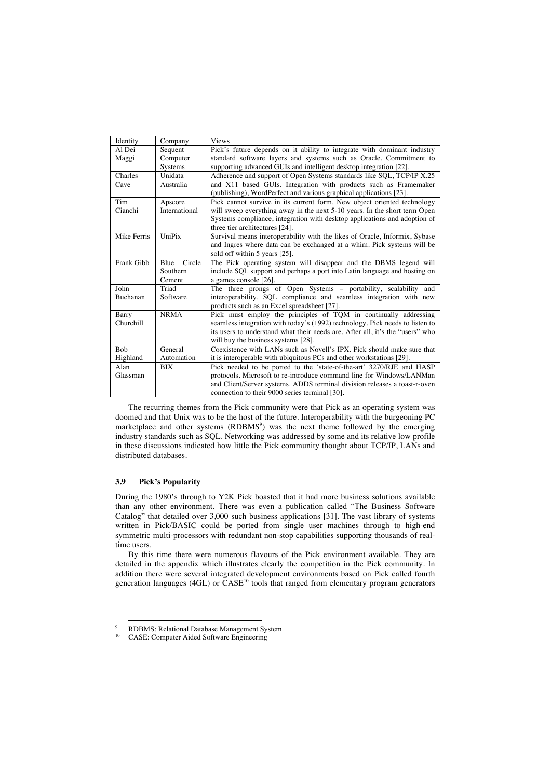| Identity    | Company        | <b>Views</b>                                                                  |
|-------------|----------------|-------------------------------------------------------------------------------|
| Al Dei      | Sequent        | Pick's future depends on it ability to integrate with dominant industry       |
| Maggi       | Computer       | standard software layers and systems such as Oracle. Commitment to            |
|             | Systems        | supporting advanced GUIs and intelligent desktop integration [22].            |
| Charles     | Unidata        | Adherence and support of Open Systems standards like SQL, TCP/IP X.25         |
| Cave        | Australia      | and X11 based GUIs. Integration with products such as Framemaker              |
|             |                | (publishing), WordPerfect and various graphical applications [23].            |
| Tim         | Apscore        | Pick cannot survive in its current form. New object oriented technology       |
| Cianchi     | International  | will sweep everything away in the next 5-10 years. In the short term Open     |
|             |                | Systems compliance, integration with desktop applications and adoption of     |
|             |                | three tier architectures [24].                                                |
| Mike Ferris | UniPix         | Survival means interoperability with the likes of Oracle, Informix, Sybase    |
|             |                | and Ingres where data can be exchanged at a whim. Pick systems will be        |
|             |                | sold off within 5 years [25].                                                 |
| Frank Gibb  | Circle<br>Blue | The Pick operating system will disappear and the DBMS legend will             |
|             | Southern       | include SQL support and perhaps a port into Latin language and hosting on     |
|             | Cement         | a games console [26].                                                         |
| John        | Triad          | The three prongs of Open Systems - portability, scalability and               |
| Buchanan    | Software       | interoperability. SQL compliance and seamless integration with new            |
|             |                | products such as an Excel spreadsheet [27].                                   |
| Barry       | <b>NRMA</b>    | Pick must employ the principles of TQM in continually addressing              |
| Churchill   |                | seamless integration with today's (1992) technology. Pick needs to listen to  |
|             |                | its users to understand what their needs are. After all, it's the "users" who |
|             |                | will buy the business systems [28].                                           |
| <b>B</b> ob | General        | Coexistence with LANs such as Novell's IPX. Pick should make sure that        |
| Highland    | Automation     | it is interoperable with ubiquitous PCs and other workstations [29].          |
| Alan        | <b>BIX</b>     | Pick needed to be ported to the 'state-of-the-art' 3270/RJE and HASP          |
| Glassman    |                | protocols. Microsoft to re-introduce command line for Windows/LANMan          |
|             |                | and Client/Server systems. ADDS terminal division releases a toast-r-oven     |
|             |                | connection to their 9000 series terminal [30].                                |

The recurring themes from the Pick community were that Pick as an operating system was doomed and that Unix was to be the host of the future. Interoperability with the burgeoning PC marketplace and other systems (RDBMS<sup>9</sup>) was the next theme followed by the emerging industry standards such as SQL. Networking was addressed by some and its relative low profile in these discussions indicated how little the Pick community thought about TCP/IP, LANs and distributed databases.

## **3.9 Pick's Popularity**

During the 1980's through to Y2K Pick boasted that it had more business solutions available than any other environment. There was even a publication called "The Business Software Catalog" that detailed over 3,000 such business applications [31]. The vast library of systems written in Pick/BASIC could be ported from single user machines through to high-end symmetric multi-processors with redundant non-stop capabilities supporting thousands of realtime users.

By this time there were numerous flavours of the Pick environment available. They are detailed in the appendix which illustrates clearly the competition in the Pick community. In addition there were several integrated development environments based on Pick called fourth generation languages (4GL) or  $CASE^{10}$  tools that ranged from elementary program generators

<sup>&</sup>lt;sup>9</sup> RDBMS: Relational Database Management System.

<sup>10</sup> CASE: Computer Aided Software Engineering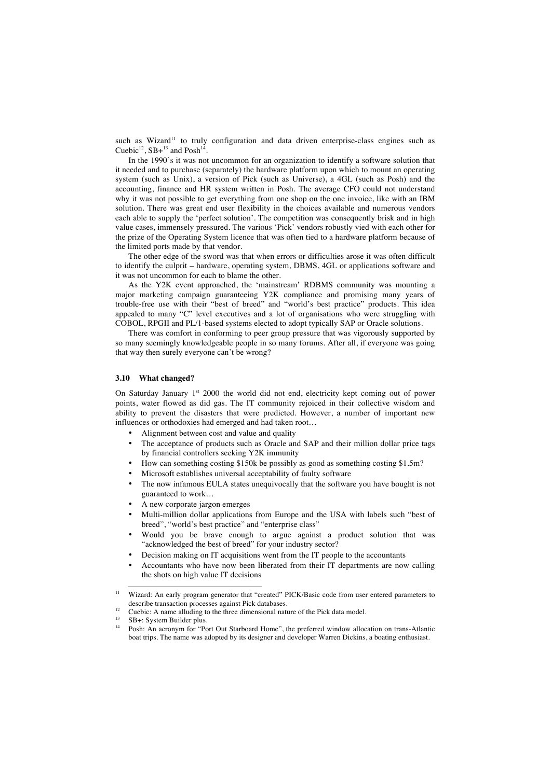such as Wizard<sup>11</sup> to truly configuration and data driven enterprise-class engines such as Cuebic<sup>12</sup>,  $SB+$ <sup>13</sup> and Posh<sup>14</sup>

In the 1990's it was not uncommon for an organization to identify a software solution that it needed and to purchase (separately) the hardware platform upon which to mount an operating system (such as Unix), a version of Pick (such as Universe), a 4GL (such as Posh) and the accounting, finance and HR system written in Posh. The average CFO could not understand why it was not possible to get everything from one shop on the one invoice, like with an IBM solution. There was great end user flexibility in the choices available and numerous vendors each able to supply the 'perfect solution'. The competition was consequently brisk and in high value cases, immensely pressured. The various 'Pick' vendors robustly vied with each other for the prize of the Operating System licence that was often tied to a hardware platform because of the limited ports made by that vendor.

The other edge of the sword was that when errors or difficulties arose it was often difficult to identify the culprit – hardware, operating system, DBMS, 4GL or applications software and it was not uncommon for each to blame the other.

As the Y2K event approached, the 'mainstream' RDBMS community was mounting a major marketing campaign guaranteeing Y2K compliance and promising many years of trouble-free use with their "best of breed" and "world's best practice" products. This idea appealed to many "C" level executives and a lot of organisations who were struggling with COBOL, RPGII and PL/1-based systems elected to adopt typically SAP or Oracle solutions.

There was comfort in conforming to peer group pressure that was vigorously supported by so many seemingly knowledgeable people in so many forums. After all, if everyone was going that way then surely everyone can't be wrong?

#### **3.10 What changed?**

On Saturday January 1st 2000 the world did not end, electricity kept coming out of power points, water flowed as did gas. The IT community rejoiced in their collective wisdom and ability to prevent the disasters that were predicted. However, a number of important new influences or orthodoxies had emerged and had taken root…

- Alignment between cost and value and quality
- The acceptance of products such as Oracle and SAP and their million dollar price tags by financial controllers seeking Y2K immunity
- How can something costing \$150k be possibly as good as something costing \$1.5m?
- Microsoft establishes universal acceptability of faulty software
- The now infamous EULA states unequivocally that the software you have bought is not guaranteed to work…
- A new corporate jargon emerges
- Multi-million dollar applications from Europe and the USA with labels such "best of breed", "world's best practice" and "enterprise class"
- Would you be brave enough to argue against a product solution that was "acknowledged the best of breed" for your industry sector?
- Decision making on IT acquisitions went from the IT people to the accountants
- Accountants who have now been liberated from their IT departments are now calling the shots on high value IT decisions

<sup>&</sup>lt;sup>11</sup> Wizard: An early program generator that "created" PICK/Basic code from user entered parameters to describe transaction processes against Pick databases.

<sup>&</sup>lt;sup>12</sup> Cuebic: A name alluding to the three dimensional nature of the Pick data model.

<sup>&</sup>lt;sup>13</sup> SB+: System Builder plus.

Posh: An acronym for "Port Out Starboard Home", the preferred window allocation on trans-Atlantic boat trips. The name was adopted by its designer and developer Warren Dickins, a boating enthusiast.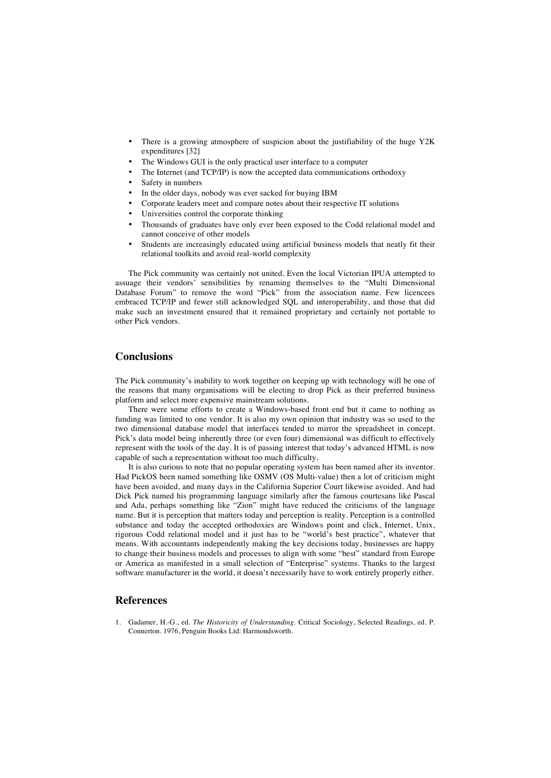- There is a growing atmosphere of suspicion about the justifiability of the huge Y2K expenditures [32]
- The Windows GUI is the only practical user interface to a computer
- The Internet (and TCP/IP) is now the accepted data communications orthodoxy
- Safety in numbers
- In the older days, nobody was ever sacked for buying IBM
- Corporate leaders meet and compare notes about their respective IT solutions
- Universities control the corporate thinking
- Thousands of graduates have only ever been exposed to the Codd relational model and cannot conceive of other models
- Students are increasingly educated using artificial business models that neatly fit their relational toolkits and avoid real-world complexity

The Pick community was certainly not united. Even the local Victorian IPUA attempted to assuage their vendors' sensibilities by renaming themselves to the "Multi Dimensional Database Forum" to remove the word "Pick" from the association name. Few licencees embraced TCP/IP and fewer still acknowledged SQL and interoperability, and those that did make such an investment ensured that it remained proprietary and certainly not portable to other Pick vendors.

## **Conclusions**

The Pick community's inability to work together on keeping up with technology will be one of the reasons that many organisations will be electing to drop Pick as their preferred business platform and select more expensive mainstream solutions.

There were some efforts to create a Windows-based front end but it came to nothing as funding was limited to one vendor. It is also my own opinion that industry was so used to the two dimensional database model that interfaces tended to mirror the spreadsheet in concept. Pick's data model being inherently three (or even four) dimensional was difficult to effectively represent with the tools of the day. It is of passing interest that today's advanced HTML is now capable of such a representation without too much difficulty.

It is also curious to note that no popular operating system has been named after its inventor. Had PickOS been named something like OSMV (OS Multi-value) then a lot of criticism might have been avoided, and many days in the California Superior Court likewise avoided. And had Dick Pick named his programming language similarly after the famous courtesans like Pascal and Ada, perhaps something like "Zion" might have reduced the criticisms of the language name. But it is perception that matters today and perception is reality. Perception is a controlled substance and today the accepted orthodoxies are Windows point and click, Internet, Unix, rigorous Codd relational model and it just has to be "world's best practice", whatever that means. With accountants independently making the key decisions today, businesses are happy to change their business models and processes to align with some "best" standard from Europe or America as manifested in a small selection of "Enterprise" systems. Thanks to the largest software manufacturer in the world, it doesn't necessarily have to work entirely properly either.

## **References**

1. Gadamer, H.-G., ed. *The Historicity of Understanding*. Critical Sociology, Selected Readings, ed. P. Connerton. 1976, Penguin Books Ltd: Harmondsworth.